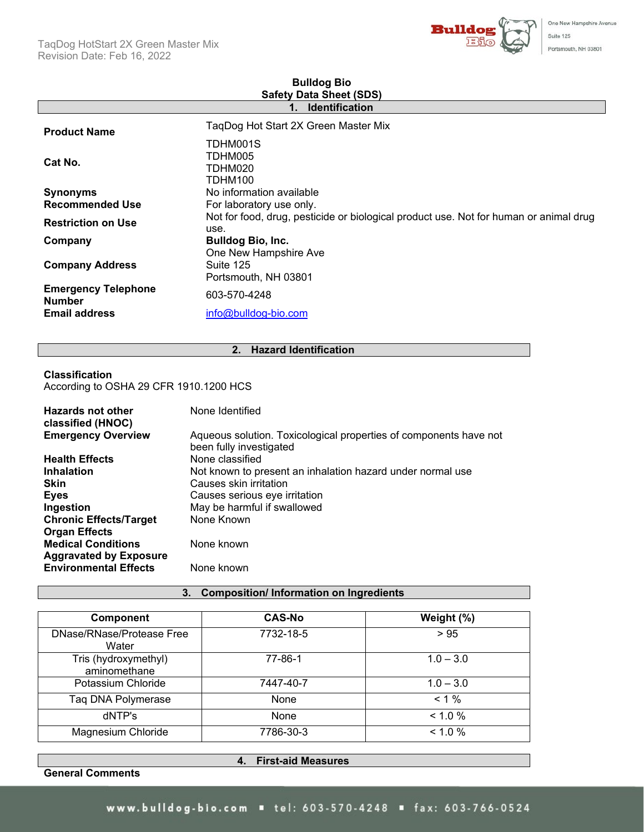

| <b>Safety Data Sheet (SDS)</b>                                                                |  |  |  |
|-----------------------------------------------------------------------------------------------|--|--|--|
| <b>Identification</b><br>1.                                                                   |  |  |  |
| TaqDog Hot Start 2X Green Master Mix                                                          |  |  |  |
| TDHM001S<br>TDHM005<br>TDHM020<br>TDHM100                                                     |  |  |  |
| No information available                                                                      |  |  |  |
| For laboratory use only.                                                                      |  |  |  |
| Not for food, drug, pesticide or biological product use. Not for human or animal drug<br>use. |  |  |  |
| <b>Bulldog Bio, Inc.</b>                                                                      |  |  |  |
| One New Hampshire Ave<br>Suite 125<br>Portsmouth, NH 03801                                    |  |  |  |
| 603-570-4248                                                                                  |  |  |  |
| info@bulldog-bio.com                                                                          |  |  |  |
|                                                                                               |  |  |  |

# **Bulldog Bio**

### **2. Hazard Identification**

### **Classification**

According to OSHA 29 CFR 1910.1200 HCS

| Hazards not other<br>classified (HNOC)                     | None Identified                                                                              |
|------------------------------------------------------------|----------------------------------------------------------------------------------------------|
| <b>Emergency Overview</b>                                  | Aqueous solution. Toxicological properties of components have not<br>been fully investigated |
| <b>Health Effects</b>                                      | None classified                                                                              |
| <b>Inhalation</b>                                          | Not known to present an inhalation hazard under normal use                                   |
| <b>Skin</b>                                                | Causes skin irritation                                                                       |
| <b>Eyes</b>                                                | Causes serious eye irritation                                                                |
| Ingestion                                                  | May be harmful if swallowed                                                                  |
| <b>Chronic Effects/Target</b>                              | None Known                                                                                   |
| <b>Organ Effects</b>                                       |                                                                                              |
| <b>Medical Conditions</b><br><b>Aggravated by Exposure</b> | None known                                                                                   |
| <b>Environmental Effects</b>                               | None known                                                                                   |

## **3. Composition/ Information on Ingredients**

| <b>Component</b>                     | <b>CAS-No</b> | Weight (%)  |
|--------------------------------------|---------------|-------------|
| DNase/RNase/Protease Free<br>Water   | 7732-18-5     | > 95        |
| Tris (hydroxymethyl)<br>aminomethane | 77-86-1       | $1.0 - 3.0$ |
| Potassium Chloride                   | 7447-40-7     | $1.0 - 3.0$ |
| Taq DNA Polymerase                   | None          | $< 1\%$     |
| dNTP's                               | None          | $< 1.0 \%$  |
| Magnesium Chloride                   | 7786-30-3     | $< 1.0 \%$  |

**General Comments**

**4. First-aid Measures**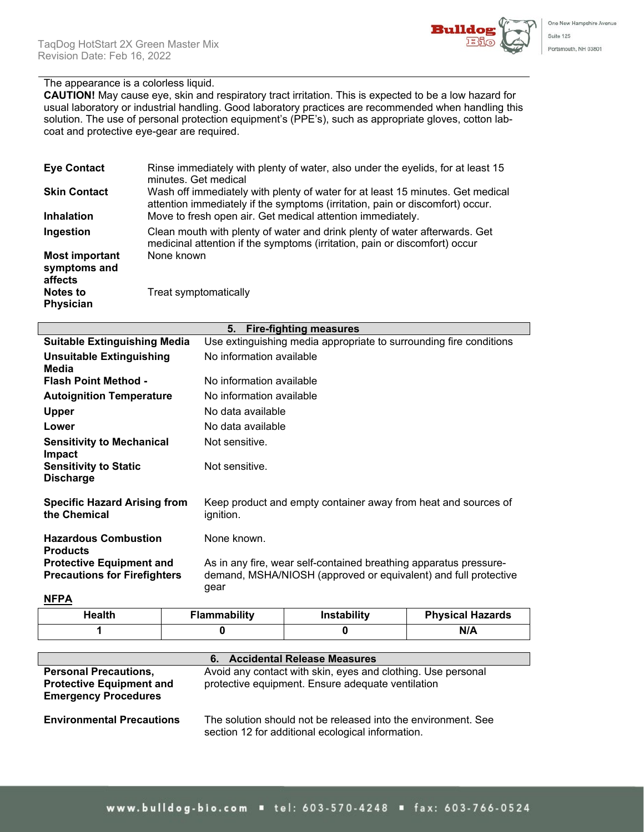

### The appearance is a colorless liquid.

**CAUTION!** May cause eye, skin and respiratory tract irritation. This is expected to be a low hazard for usual laboratory or industrial handling. Good laboratory practices are recommended when handling this solution. The use of personal protection equipment's (PPE's), such as appropriate gloves, cotton labcoat and protective eye-gear are required.

| <b>Eye Contact</b>                               | Rinse immediately with plenty of water, also under the eyelids, for at least 15<br>minutes. Get medical                                                         |
|--------------------------------------------------|-----------------------------------------------------------------------------------------------------------------------------------------------------------------|
| <b>Skin Contact</b>                              | Wash off immediately with plenty of water for at least 15 minutes. Get medical<br>attention immediately if the symptoms (irritation, pain or discomfort) occur. |
| <b>Inhalation</b>                                | Move to fresh open air. Get medical attention immediately.                                                                                                      |
| Ingestion                                        | Clean mouth with plenty of water and drink plenty of water afterwards. Get<br>medicinal attention if the symptoms (irritation, pain or discomfort) occur        |
| <b>Most important</b><br>symptoms and<br>affects | None known                                                                                                                                                      |
| <b>Notes to</b><br><b>Physician</b>              | Treat symptomatically                                                                                                                                           |

| 5.<br><b>Fire-fighting measures</b>                                    |                                                                                                                                              |  |  |
|------------------------------------------------------------------------|----------------------------------------------------------------------------------------------------------------------------------------------|--|--|
| <b>Suitable Extinguishing Media</b>                                    | Use extinguishing media appropriate to surrounding fire conditions                                                                           |  |  |
| <b>Unsuitable Extinguishing</b><br>Media                               | No information available                                                                                                                     |  |  |
| <b>Flash Point Method -</b>                                            | No information available                                                                                                                     |  |  |
| <b>Autoignition Temperature</b>                                        | No information available                                                                                                                     |  |  |
| <b>Upper</b>                                                           | No data available                                                                                                                            |  |  |
| Lower                                                                  | No data available                                                                                                                            |  |  |
| <b>Sensitivity to Mechanical</b><br><b>Impact</b>                      | Not sensitive.                                                                                                                               |  |  |
| <b>Sensitivity to Static</b><br><b>Discharge</b>                       | Not sensitive.                                                                                                                               |  |  |
| <b>Specific Hazard Arising from</b><br>the Chemical                    | Keep product and empty container away from heat and sources of<br>ignition.                                                                  |  |  |
| <b>Hazardous Combustion</b><br><b>Products</b>                         | None known.                                                                                                                                  |  |  |
| <b>Protective Equipment and</b><br><b>Precautions for Firefighters</b> | As in any fire, wear self-contained breathing apparatus pressure-<br>demand, MSHA/NIOSH (approved or equivalent) and full protective<br>gear |  |  |
|                                                                        |                                                                                                                                              |  |  |

**NFPA**

| Health | Instability<br><b>Flammability</b> |  | <b>Physical Hazards</b> |  |
|--------|------------------------------------|--|-------------------------|--|
|        |                                    |  | N/A                     |  |

|                                                                                                | <b>Accidental Release Measures</b><br>6.                                                                           |
|------------------------------------------------------------------------------------------------|--------------------------------------------------------------------------------------------------------------------|
| <b>Personal Precautions,</b><br><b>Protective Equipment and</b><br><b>Emergency Procedures</b> | Avoid any contact with skin, eyes and clothing. Use personal<br>protective equipment. Ensure adequate ventilation  |
| <b>Environmental Precautions</b>                                                               | The solution should not be released into the environment. See<br>section 12 for additional ecological information. |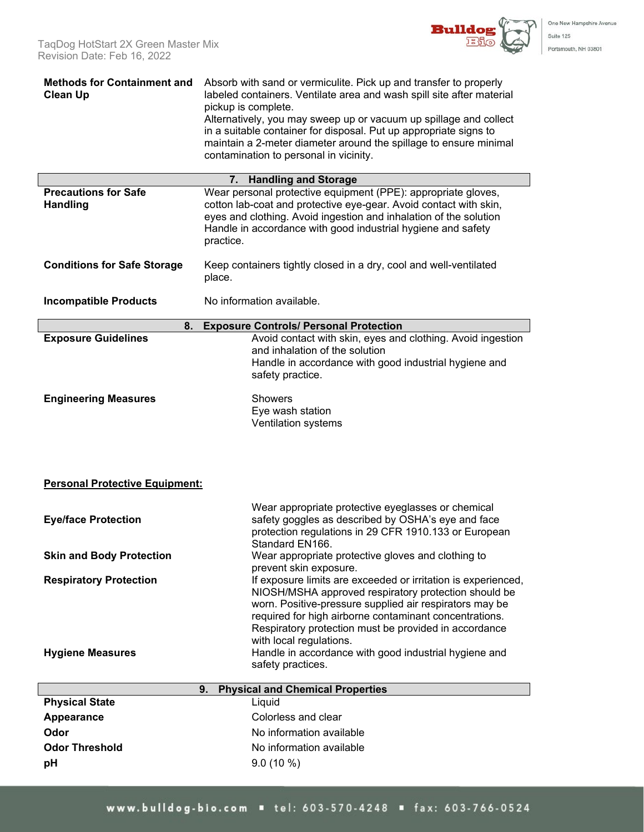One New Hampshire Avenue

Suite 125 Portsmouth, NH 03801

| <b>Methods for Containment and</b><br><b>Clean Up</b> | Absorb with sand or vermiculite. Pick up and transfer to properly<br>labeled containers. Ventilate area and wash spill site after material<br>pickup is complete.<br>Alternatively, you may sweep up or vacuum up spillage and collect                                               |  |  |  |  |
|-------------------------------------------------------|--------------------------------------------------------------------------------------------------------------------------------------------------------------------------------------------------------------------------------------------------------------------------------------|--|--|--|--|
|                                                       | in a suitable container for disposal. Put up appropriate signs to<br>maintain a 2-meter diameter around the spillage to ensure minimal<br>contamination to personal in vicinity.                                                                                                     |  |  |  |  |
|                                                       | <b>Handling and Storage</b><br>7.                                                                                                                                                                                                                                                    |  |  |  |  |
| <b>Precautions for Safe</b><br><b>Handling</b>        | Wear personal protective equipment (PPE): appropriate gloves,<br>cotton lab-coat and protective eye-gear. Avoid contact with skin,<br>eyes and clothing. Avoid ingestion and inhalation of the solution<br>Handle in accordance with good industrial hygiene and safety<br>practice. |  |  |  |  |
| <b>Conditions for Safe Storage</b>                    | Keep containers tightly closed in a dry, cool and well-ventilated<br>place.                                                                                                                                                                                                          |  |  |  |  |
| <b>Incompatible Products</b>                          | No information available.                                                                                                                                                                                                                                                            |  |  |  |  |
| 8.                                                    | <b>Exposure Controls/ Personal Protection</b>                                                                                                                                                                                                                                        |  |  |  |  |
| <b>Exposure Guidelines</b>                            | Avoid contact with skin, eyes and clothing. Avoid ingestion<br>and inhalation of the solution                                                                                                                                                                                        |  |  |  |  |
|                                                       | Handle in accordance with good industrial hygiene and                                                                                                                                                                                                                                |  |  |  |  |
|                                                       | safety practice.                                                                                                                                                                                                                                                                     |  |  |  |  |
| <b>Engineering Measures</b>                           | <b>Showers</b>                                                                                                                                                                                                                                                                       |  |  |  |  |
|                                                       | Eye wash station<br>Ventilation systems                                                                                                                                                                                                                                              |  |  |  |  |
|                                                       |                                                                                                                                                                                                                                                                                      |  |  |  |  |
|                                                       |                                                                                                                                                                                                                                                                                      |  |  |  |  |
| <b>Personal Protective Equipment:</b>                 |                                                                                                                                                                                                                                                                                      |  |  |  |  |
|                                                       |                                                                                                                                                                                                                                                                                      |  |  |  |  |
| <b>Eye/face Protection</b>                            | Wear appropriate protective eyeglasses or chemical<br>safety goggles as described by OSHA's eye and face<br>protection regulations in 29 CFR 1910.133 or European                                                                                                                    |  |  |  |  |
| <b>Skin and Body Protection</b>                       | Standard EN166.<br>Wear appropriate protective gloves and clothing to                                                                                                                                                                                                                |  |  |  |  |
| <b>Respiratory Protection</b>                         | prevent skin exposure.<br>If exposure limits are exceeded or irritation is experienced,                                                                                                                                                                                              |  |  |  |  |
|                                                       | NIOSH/MSHA approved respiratory protection should be                                                                                                                                                                                                                                 |  |  |  |  |
|                                                       | worn. Positive-pressure supplied air respirators may be<br>required for high airborne contaminant concentrations.                                                                                                                                                                    |  |  |  |  |
|                                                       | Respiratory protection must be provided in accordance                                                                                                                                                                                                                                |  |  |  |  |
| <b>Hygiene Measures</b>                               | with local regulations.<br>Handle in accordance with good industrial hygiene and                                                                                                                                                                                                     |  |  |  |  |
|                                                       | safety practices.                                                                                                                                                                                                                                                                    |  |  |  |  |
|                                                       | <b>Physical and Chemical Properties</b><br>9.                                                                                                                                                                                                                                        |  |  |  |  |
| <b>Physical State</b>                                 | Liquid                                                                                                                                                                                                                                                                               |  |  |  |  |
| Appearance                                            | Colorless and clear                                                                                                                                                                                                                                                                  |  |  |  |  |
| Odor                                                  | No information available                                                                                                                                                                                                                                                             |  |  |  |  |
| <b>Odor Threshold</b>                                 | No information available                                                                                                                                                                                                                                                             |  |  |  |  |
| pH                                                    | $9.0(10\%)$                                                                                                                                                                                                                                                                          |  |  |  |  |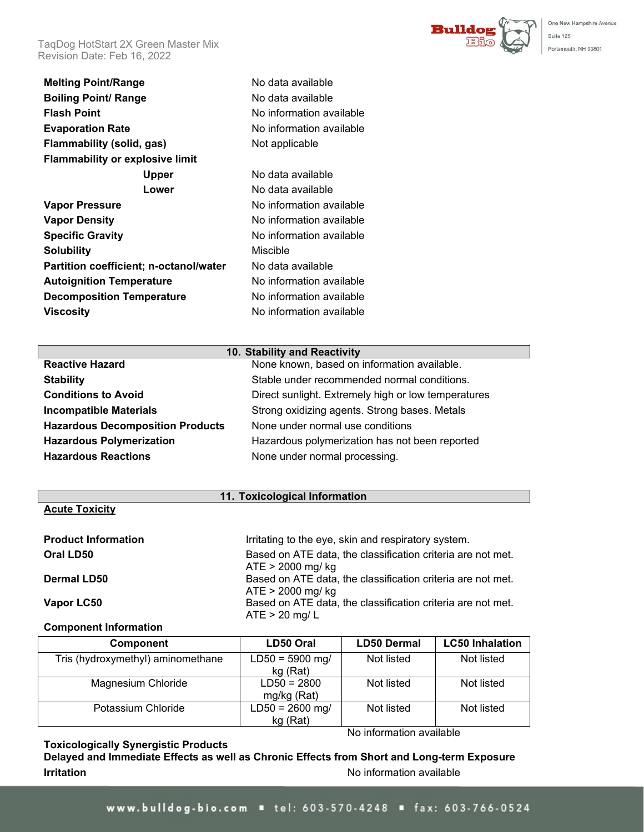TaqDog HotStart 2X Green Master Mix Revision Date: Feb 16, 2022

**Melting Point/Range** No data available **Boiling Point/ Range** No data available **Flash Point** No information available **Evaporation Rate** No information available **Flammability (solid, gas)** Not applicable **Flammability or explosive limit Upper** No data available **Lower** No data available **Vapor Pressure No information available Vapor Density No information available Specific Gravity No information available Solubility** Miscible **Partition coefficient; n-octanol/water** No data available **Autoignition Temperature** No information available **Decomposition Temperature** No information available

### **10. Stability and Reactivity**

| <b>Reactive Hazard</b>                  | None known, based on information available.         |
|-----------------------------------------|-----------------------------------------------------|
| <b>Stability</b>                        | Stable under recommended normal conditions.         |
| <b>Conditions to Avoid</b>              | Direct sunlight. Extremely high or low temperatures |
| <b>Incompatible Materials</b>           | Strong oxidizing agents. Strong bases. Metals       |
| <b>Hazardous Decomposition Products</b> | None under normal use conditions                    |
| <b>Hazardous Polymerization</b>         | Hazardous polymerization has not been reported      |
| <b>Hazardous Reactions</b>              | None under normal processing.                       |
|                                         |                                                     |

**Viscosity Viscosity No information available** 

#### **11. Toxicological Information**

### **Acute Toxicity**

| <b>Product Information</b> | Irritating to the eye, skin and respiratory system.                                |
|----------------------------|------------------------------------------------------------------------------------|
| Oral LD50                  | Based on ATE data, the classification criteria are not met.                        |
| <b>Dermal LD50</b>         | $ATE > 2000$ mg/ kg<br>Based on ATE data, the classification criteria are not met. |
|                            | $ATE > 2000$ mg/ kg                                                                |
| Vapor LC50                 | Based on ATE data, the classification criteria are not met.<br>$ATE > 20$ mg/ L    |

### **Component Information**

| Component                         | LD50 Oral                     | <b>LD50 Dermal</b> | <b>LC50 Inhalation</b> |
|-----------------------------------|-------------------------------|--------------------|------------------------|
| Tris (hydroxymethyl) aminomethane | $LD50 = 5900$ mg/<br>kg (Rat) | Not listed         | Not listed             |
| Magnesium Chloride                | $LD50 = 2800$<br>mg/kg (Rat)  | Not listed         | Not listed             |
| Potassium Chloride                | $LD50 = 2600$ mg/<br>kg (Rat) | Not listed         | Not listed             |

### **Toxicologically Synergistic Products**

No information available

One New Hampshire Avenue

Suite 125 Portsmouth, NH 03801

**Bulldo** 

**Delayed and Immediate Effects as well as Chronic Effects from Short and Long-term Exposure Irritation Internation International International International International International International International International International International International International International Internationa**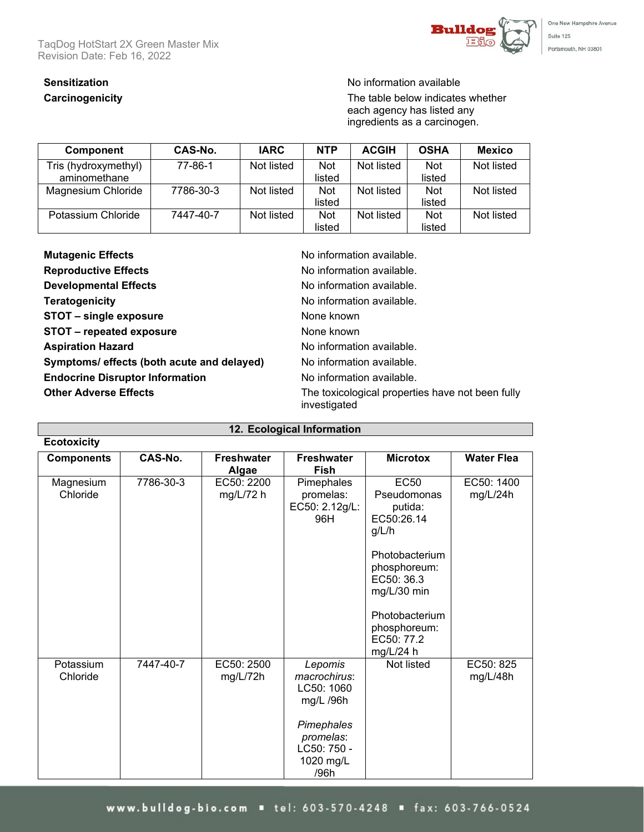TaqDog HotStart 2X Green Master Mix Revision Date: Feb 16, 2022



# **Sensitization** No information available

**Carcinogenicity Carcinogenicity Carcinogenicity The table below indicates whether** each agency has listed any ingredients as a carcinogen.

| Component            | CAS-No.   | <b>IARC</b> | <b>NTP</b> | <b>ACGIH</b> | <b>OSHA</b> | Mexico     |
|----------------------|-----------|-------------|------------|--------------|-------------|------------|
| Tris (hydroxymethyl) | 77-86-1   | Not listed  | <b>Not</b> | Not listed   | <b>Not</b>  | Not listed |
| aminomethane         |           |             | listed     |              | listed      |            |
| Magnesium Chloride   | 7786-30-3 | Not listed  | <b>Not</b> | Not listed   | <b>Not</b>  | Not listed |
|                      |           |             | listed     |              | listed      |            |
| Potassium Chloride   | 7447-40-7 | Not listed  | <b>Not</b> | Not listed   | <b>Not</b>  | Not listed |
|                      |           |             | listed     |              | listed      |            |

| <b>Mutagenic Effects</b>                   | No information available.                                        |
|--------------------------------------------|------------------------------------------------------------------|
| <b>Reproductive Effects</b>                | No information available.                                        |
| <b>Developmental Effects</b>               | No information available.                                        |
| <b>Teratogenicity</b>                      | No information available.                                        |
| STOT - single exposure                     | None known                                                       |
| STOT - repeated exposure                   | None known                                                       |
| <b>Aspiration Hazard</b>                   | No information available.                                        |
| Symptoms/ effects (both acute and delayed) | No information available.                                        |
| <b>Endocrine Disruptor Information</b>     | No information available.                                        |
| <b>Other Adverse Effects</b>               | The toxicological properties have not been fully<br>investigated |

| 12. Ecological Information |           |                            |                                                                                                                   |                                                                                                                                                                                            |                        |  |  |  |
|----------------------------|-----------|----------------------------|-------------------------------------------------------------------------------------------------------------------|--------------------------------------------------------------------------------------------------------------------------------------------------------------------------------------------|------------------------|--|--|--|
| <b>Ecotoxicity</b>         |           |                            |                                                                                                                   |                                                                                                                                                                                            |                        |  |  |  |
| <b>Components</b>          | CAS-No.   | <b>Freshwater</b><br>Algae | <b>Freshwater</b><br><b>Fish</b>                                                                                  | <b>Microtox</b>                                                                                                                                                                            | <b>Water Flea</b>      |  |  |  |
| Magnesium<br>Chloride      | 7786-30-3 | EC50: 2200<br>$mg/L/72$ h  | Pimephales<br>promelas:<br>EC50: 2.12g/L:<br>96H                                                                  | <b>EC50</b><br>Pseudomonas<br>putida:<br>EC50:26.14<br>g/L/h<br>Photobacterium<br>phosphoreum:<br>EC50: 36.3<br>mg/L/30 min<br>Photobacterium<br>phosphoreum:<br>EC50: 77.2<br>$mg/L/24$ h | EC50: 1400<br>mg/L/24h |  |  |  |
| Potassium<br>Chloride      | 7447-40-7 | EC50: 2500<br>mg/L/72h     | Lepomis<br>macrochirus:<br>LC50: 1060<br>mg/L /96h<br>Pimephales<br>promelas:<br>LC50: 750 -<br>1020 mg/L<br>/96h | Not listed                                                                                                                                                                                 | EC50: 825<br>mg/L/48h  |  |  |  |

## www.bulldog-bio.com = tel: 603-570-4248 = fax: 603-766-0524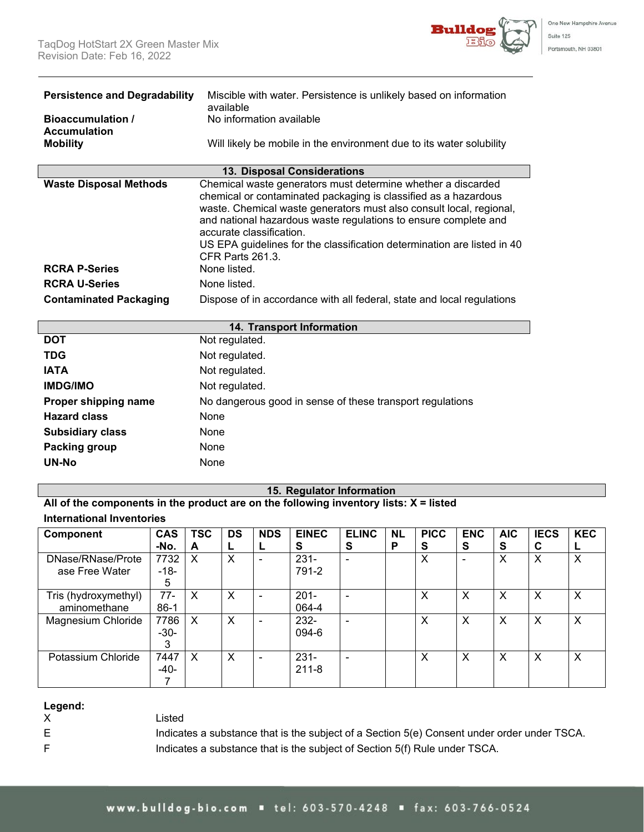

| <b>Persistence and Degradability</b><br><b>Bioaccumulation /</b><br><b>Accumulation</b> | Miscible with water. Persistence is unlikely based on information<br>available<br>No information available                                                                                                                                                                                                                                                                                                                  |
|-----------------------------------------------------------------------------------------|-----------------------------------------------------------------------------------------------------------------------------------------------------------------------------------------------------------------------------------------------------------------------------------------------------------------------------------------------------------------------------------------------------------------------------|
| <b>Mobility</b>                                                                         | Will likely be mobile in the environment due to its water solubility                                                                                                                                                                                                                                                                                                                                                        |
|                                                                                         | <b>13. Disposal Considerations</b>                                                                                                                                                                                                                                                                                                                                                                                          |
| <b>Waste Disposal Methods</b><br><b>RCRA P-Series</b>                                   | Chemical waste generators must determine whether a discarded<br>chemical or contaminated packaging is classified as a hazardous<br>waste. Chemical waste generators must also consult local, regional,<br>and national hazardous waste regulations to ensure complete and<br>accurate classification.<br>US EPA guidelines for the classification determination are listed in 40<br><b>CFR Parts 261.3.</b><br>None listed. |
| <b>RCRA U-Series</b>                                                                    | None listed.                                                                                                                                                                                                                                                                                                                                                                                                                |
| <b>Contaminated Packaging</b>                                                           | Dispose of in accordance with all federal, state and local regulations                                                                                                                                                                                                                                                                                                                                                      |
|                                                                                         | 14. Transport Information                                                                                                                                                                                                                                                                                                                                                                                                   |
| <b>DOT</b>                                                                              | Not regulated.                                                                                                                                                                                                                                                                                                                                                                                                              |
| <b>TDG</b>                                                                              | Not regulated.                                                                                                                                                                                                                                                                                                                                                                                                              |
| <b>IATA</b>                                                                             | Not regulated.                                                                                                                                                                                                                                                                                                                                                                                                              |
|                                                                                         | <b>Note that the contract of the set of the set of the set of the set of the set of the set of the set of the set of the set of the set of the set of the set of the set of the set of the set of the set of the set of the set </b>                                                                                                                                                                                        |

| <b>IATA</b>             | Not regulated.                                            |
|-------------------------|-----------------------------------------------------------|
| <b>IMDG/IMO</b>         | Not regulated.                                            |
| Proper shipping name    | No dangerous good in sense of these transport regulations |
| <b>Hazard class</b>     | None                                                      |
| <b>Subsidiary class</b> | None                                                      |
| Packing group           | None                                                      |
| <b>UN-No</b>            | None                                                      |

### **15. Regulator Information**

**All of the components in the product are on the following inventory lists: X = listed International Inventories**

| <b>Component</b>     | <b>CAS</b> | <b>TSC</b> | <b>DS</b> | <b>NDS</b> | <b>EINEC</b> | <b>ELINC</b>   | <b>NL</b> | <b>PICC</b> | <b>ENC</b> | <b>AIC</b> | <b>IECS</b> | <b>KEC</b> |
|----------------------|------------|------------|-----------|------------|--------------|----------------|-----------|-------------|------------|------------|-------------|------------|
|                      | -No.       | A          | ┕         |            | s            | S              | P         | S           | S          | S          | С           |            |
| DNase/RNase/Prote    | 7732       | X          | X         |            | $231 -$      | $\blacksquare$ |           | X           |            | X          | X           | X          |
| ase Free Water       | $-18-$     |            |           |            | 791-2        |                |           |             |            |            |             |            |
|                      | 5          |            |           |            |              |                |           |             |            |            |             |            |
| Tris (hydroxymethyl) | $77-$      | X          | X         |            | $201 -$      | $\blacksquare$ |           | X           | X          | X          | X           | Χ          |
| aminomethane         | $86-1$     |            |           |            | 064-4        |                |           |             |            |            |             |            |
| Magnesium Chloride   | 7786       | X          | X         |            | 232-         | $\blacksquare$ |           | X           | X          | X          | X           | X          |
|                      | $-30-$     |            |           |            | 094-6        |                |           |             |            |            |             |            |
|                      | 3          |            |           |            |              |                |           |             |            |            |             |            |
| Potassium Chloride   | 7447       | X          | X         |            | $231 -$      | $\blacksquare$ |           | X           | X          | X          | X           | X          |
|                      | $-40-$     |            |           |            | $211 - 8$    |                |           |             |            |            |             |            |
|                      |            |            |           |            |              |                |           |             |            |            |             |            |

# **Legend:**

Listed

- 
- 
- 

E Indicates a substance that is the subject of a Section 5(e) Consent under order under TSCA. F **Indicates a substance that is the subject of Section 5(f) Rule under TSCA.**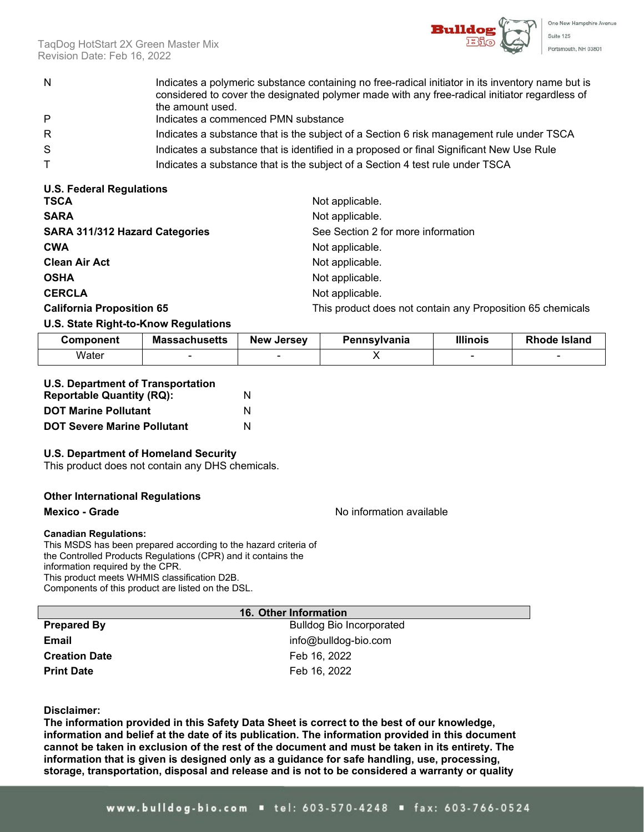

TaqDog HotStart 2X Green Master Mix Revision Date: Feb 16, 2022

- N Indicates a polymeric substance containing no free-radical initiator in its inventory name but is considered to cover the designated polymer made with any free-radical initiator regardless of the amount used.
- P Indicates a commenced PMN substance
- R **Indicates a substance that is the subject of a Section 6 risk management rule under TSCA**
- S Suppressment indicates a substance that is identified in a proposed or final Significant New Use Rule
- T Indicates a substance that is the subject of a Section 4 test rule under TSCA

| <b>U.S. Federal Regulations</b>       |                                                            |
|---------------------------------------|------------------------------------------------------------|
| <b>TSCA</b>                           | Not applicable.                                            |
| <b>SARA</b>                           | Not applicable.                                            |
| <b>SARA 311/312 Hazard Categories</b> | See Section 2 for more information                         |
| <b>CWA</b>                            | Not applicable.                                            |
| <b>Clean Air Act</b>                  | Not applicable.                                            |
| <b>OSHA</b>                           | Not applicable.                                            |
| <b>CERCLA</b>                         | Not applicable.                                            |
| <b>California Proposition 65</b>      | This product does not contain any Proposition 65 chemicals |

### **U.S. State Right-to-Know Regulations**

| Component | <b>Massachusetts</b> | <b>New Jersey</b> | Pennsvlvania | <b>Illinois</b> | <b>Rhode Island</b> |
|-----------|----------------------|-------------------|--------------|-----------------|---------------------|
| Water     |                      |                   |              |                 |                     |

| <b>U.S. Department of Transportation</b> |   |
|------------------------------------------|---|
| <b>Reportable Quantity (RQ):</b>         | N |
| <b>DOT Maring Pollutant</b>              | N |

|  | <b>DOT Marine Pollutant</b>        |   |
|--|------------------------------------|---|
|  | <b>DOT Severe Marine Pollutant</b> | N |

### **U.S. Department of Homeland Security**

This product does not contain any DHS chemicals.

### **Other International Regulations**

### **Mexico - Grade** Note and American control of the Mexico - Mexico - Mexico - The Mexico - The Mexico - The Mexico - The Mexico - The Mexico - The Mexico - The Mexico - The Mexico - The Mexico - The Mexico - The Mexico - Th

#### **Canadian Regulations:**

This MSDS has been prepared according to the hazard criteria of the Controlled Products Regulations (CPR) and it contains the information required by the CPR. This product meets WHMIS classification D2B. Components of this product are listed on the DSL.

|                      | 16. Other Information           |
|----------------------|---------------------------------|
| <b>Prepared By</b>   | <b>Bulldog Bio Incorporated</b> |
| Email                | info@bulldog-bio.com            |
| <b>Creation Date</b> | Feb 16, 2022                    |
| <b>Print Date</b>    | Feb 16, 2022                    |

### **Disclaimer:**

**The information provided in this Safety Data Sheet is correct to the best of our knowledge, information and belief at the date of its publication. The information provided in this document cannot be taken in exclusion of the rest of the document and must be taken in its entirety. The information that is given is designed only as a guidance for safe handling, use, processing, storage, transportation, disposal and release and is not to be considered a warranty or quality**